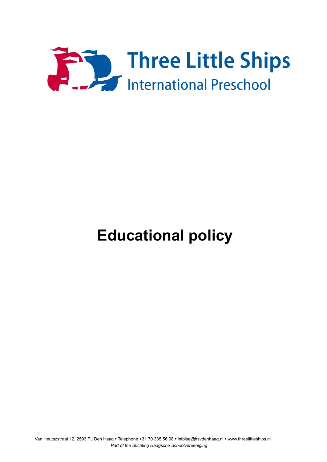

# **Educational policy**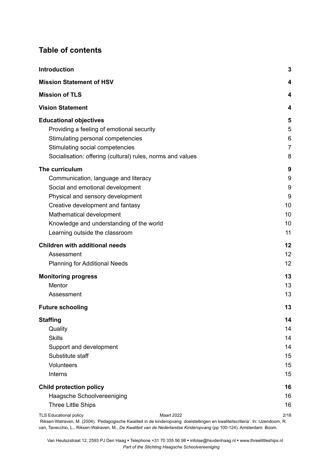# **Table of contents**

| <b>Introduction</b>                                                                                                                                                                                                                                                                 | $\mathbf{3}$                             |
|-------------------------------------------------------------------------------------------------------------------------------------------------------------------------------------------------------------------------------------------------------------------------------------|------------------------------------------|
| <b>Mission Statement of HSV</b>                                                                                                                                                                                                                                                     | 4                                        |
| <b>Mission of TLS</b>                                                                                                                                                                                                                                                               | 4                                        |
| <b>Vision Statement</b>                                                                                                                                                                                                                                                             | 4                                        |
| <b>Educational objectives</b><br>Providing a feeling of emotional security<br>Stimulating personal competencies<br>Stimulating social competencies<br>Socialisation: offering (cultural) rules, norms and values                                                                    | 5<br>5<br>6<br>$\overline{7}$<br>8       |
| The curriculum<br>Communication, language and literacy<br>Social and emotional development<br>Physical and sensory development<br>Creative development and fantasy<br>Mathematical development<br>Knowledge and understanding of the world<br>Learning outside the classroom        | 9<br>9<br>9<br>9<br>10<br>10<br>10<br>11 |
| <b>Children with additional needs</b><br>Assessment<br><b>Planning for Additional Needs</b>                                                                                                                                                                                         | 12<br>12<br>12                           |
| <b>Monitoring progress</b><br>Mentor<br>Assessment                                                                                                                                                                                                                                  | 13<br>13<br>13                           |
| <b>Future schooling</b>                                                                                                                                                                                                                                                             | 13                                       |
| <b>Staffing</b><br>Quality<br><b>Skills</b><br>Support and development<br>Substitute staff<br>Volunteers<br>Interns                                                                                                                                                                 | 14<br>14<br>14<br>14<br>15<br>15<br>15   |
| <b>Child protection policy</b><br>Haagsche Schoolvereeniging<br><b>Three Little Ships</b><br><b>TLS Educational policy</b><br><b>Maart 2022</b><br>Riksen-Walraven, M. (2004). 'Pedagogische Kwaliteit in de kinderopvang: doelstellingen en kwaliteitscriteria'. In: IJzendoom, R. | 16<br>16<br>16<br>2/18                   |

van, Tavecchio, L., Riksen-Walraven, M., *De Kwaliteit van de Nederlandse Kinderopvang* (pp 100-124). Amsterdam: Boom.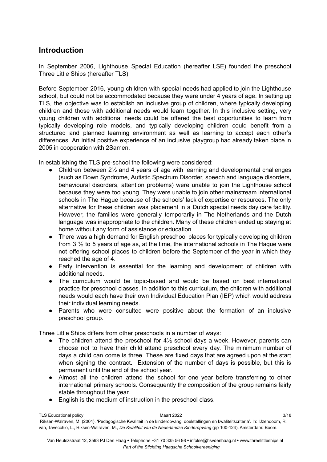# <span id="page-2-0"></span>**Introduction**

In September 2006, Lighthouse Special Education (hereafter LSE) founded the preschool Three Little Ships (hereafter TLS).

Before September 2016, young children with special needs had applied to join the Lighthouse school, but could not be accommodated because they were under 4 years of age. In setting up TLS, the objective was to establish an inclusive group of children, where typically developing children and those with additional needs would learn together. In this inclusive setting, very young children with additional needs could be offered the best opportunities to learn from typically developing role models, and typically developing children could benefit from a structured and planned learning environment as well as learning to accept each other's differences. An initial positive experience of an inclusive playgroup had already taken place in 2005 in cooperation with 2Samen.

In establishing the TLS pre-school the following were considered:

- Children between 2<sup>1/2</sup> and 4 years of age with learning and developmental challenges (such as Down Syndrome, Autistic Spectrum Disorder, speech and language disorders, behavioural disorders, attention problems) were unable to join the Lighthouse school because they were too young. They were unable to join other mainstream international schools in The Hague because of the schools' lack of expertise or resources. The only alternative for these children was placement in a Dutch special needs day care facility. However, the families were generally temporarily in The Netherlands and the Dutch language was inappropriate to the children. Many of these children ended up staying at home without any form of assistance or education.
- There was a high demand for English preschool places for typically developing children from 3 ½ to 5 years of age as, at the time, the international schools in The Hague were not offering school places to children before the September of the year in which they reached the age of 4.
- Early intervention is essential for the learning and development of children with additional needs.
- The curriculum would be topic-based and would be based on best international practice for preschool classes. In addition to this curriculum, the children with additional needs would each have their own Individual Education Plan (IEP) which would address their individual learning needs.
- Parents who were consulted were positive about the formation of an inclusive preschool group.

Three Little Ships differs from other preschools in a number of ways:

- The children attend the preschool for  $4\frac{1}{2}$  school days a week. However, parents can choose not to have their child attend preschool every day. The minimum number of days a child can come is three. These are fixed days that are agreed upon at the start when signing the contract. Extension of the number of days is possible, but this is permanent until the end of the school year.
- Almost all the children attend the school for one year before transferring to other international primary schools. Consequently the composition of the group remains fairly stable throughout the year.
- English is the medium of instruction in the preschool class.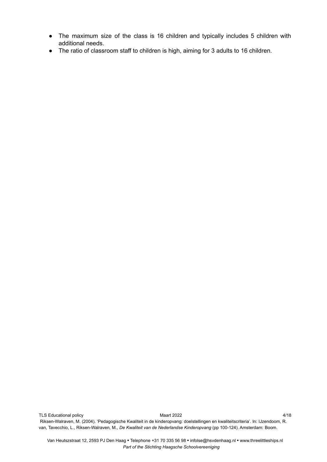- The maximum size of the class is 16 children and typically includes 5 children with additional needs.
- The ratio of classroom staff to children is high, aiming for 3 adults to 16 children.

TLS Educational policy and the control of Maart 2022 Maart 2022 4/18 Riksen-Walraven, M. (2004). 'Pedagogische Kwaliteit in de kinderopvang: doelstellingen en kwaliteitscriteria'. In: IJzendoom, R. van, Tavecchio, L., Riksen-Walraven, M., *De Kwaliteit van de Nederlandse Kinderopvang* (pp 100-124). Amsterdam: Boom.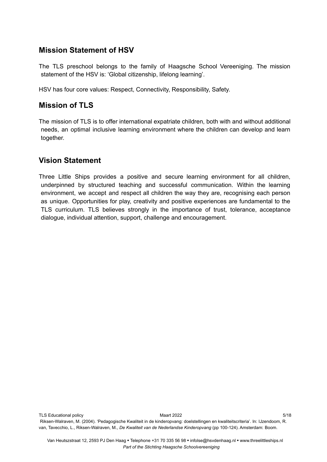# <span id="page-4-0"></span>**Mission Statement of HSV**

The TLS preschool belongs to the family of Haagsche School Vereeniging. The mission statement of the HSV is: 'Global citizenship, lifelong learning'.

HSV has four core values: Respect, Connectivity, Responsibility, Safety.

# <span id="page-4-1"></span>**Mission of TLS**

The mission of TLS is to offer international expatriate children, both with and without additional needs, an optimal inclusive learning environment where the children can develop and learn together.

# <span id="page-4-2"></span>**Vision Statement**

Three Little Ships provides a positive and secure learning environment for all children, underpinned by structured teaching and successful communication. Within the learning environment, we accept and respect all children the way they are, recognising each person as unique. Opportunities for play, creativity and positive experiences are fundamental to the TLS curriculum. TLS believes strongly in the importance of trust, tolerance, acceptance dialogue, individual attention, support, challenge and encouragement.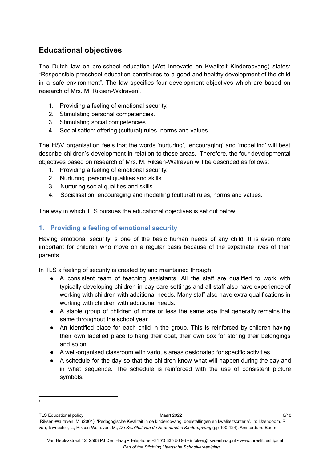# <span id="page-5-0"></span>**Educational objectives**

The Dutch law on pre-school education (Wet Innovatie en Kwaliteit Kinderopvang) states: "Responsible preschool education contributes to a good and healthy development of the child in a safe environment". The law specifies four development objectives which are based on research of Mrs. M. Riksen-Walraven $^1$ .

- 1. Providing a feeling of emotional security.
- 2. Stimulating personal competencies.
- 3. Stimulating social competencies.
- 4. Socialisation: offering (cultural) rules, norms and values.

The HSV organisation feels that the words 'nurturing', 'encouraging' and 'modelling' will best describe children's development in relation to these areas. Therefore, the four developmental objectives based on research of Mrs. M. Riksen-Walraven will be described as follows:

- 1. Providing a feeling of emotional security.
- 2. Nurturing personal qualities and skills.
- 3. Nurturing social qualities and skills.
- 4. Socialisation: encouraging and modelling (cultural) rules, norms and values.

The way in which TLS pursues the educational objectives is set out below.

## <span id="page-5-1"></span>**1. Providing a feeling of emotional security**

1

Having emotional security is one of the basic human needs of any child. It is even more important for children who move on a regular basis because of the expatriate lives of their parents.

In TLS a feeling of security is created by and maintained through:

- A consistent team of teaching assistants. All the staff are qualified to work with typically developing children in day care settings and all staff also have experience of working with children with additional needs. Many staff also have extra qualifications in working with children with additional needs.
- A stable group of children of more or less the same age that generally remains the same throughout the school year.
- An identified place for each child in the group. This is reinforced by children having their own labelled place to hang their coat, their own box for storing their belongings and so on.
- A well-organised classroom with various areas designated for specific activities.
- A schedule for the day so that the children know what will happen during the day and in what sequence. The schedule is reinforced with the use of consistent picture symbols.

TLS Educational policy and the contract of the Maart 2022 6/18 and the contract of the GMS 6/18 Riksen-Walraven, M. (2004). 'Pedagogische Kwaliteit in de kinderopvang: doelstellingen en kwaliteitscriteria'. In: IJzendoom, R. van, Tavecchio, L., Riksen-Walraven, M., *De Kwaliteit van de Nederlandse Kinderopvang* (pp 100-124). Amsterdam: Boom.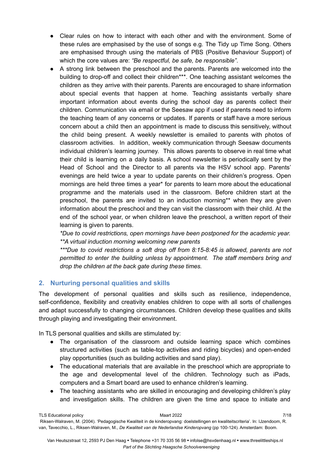- Clear rules on how to interact with each other and with the environment. Some of these rules are emphasised by the use of songs e.g. The Tidy up Time Song. Others are emphasised through using the materials of PBS (Positive Behaviour Support) of which the core values are: *"Be respectful, be safe, be responsible"*.
- A strong link between the preschool and the parents. Parents are welcomed into the building to drop-off and collect their children\*\*\*. One teaching assistant welcomes the children as they arrive with their parents. Parents are encouraged to share information about special events that happen at home. Teaching assistants verbally share important information about events during the school day as parents collect their children. Communication via email or the Seesaw app if used if parents need to inform the teaching team of any concerns or updates. If parents or staff have a more serious concern about a child then an appointment is made to discuss this sensitively, without the child being present. A weekly newsletter is emailed to parents with photos of classroom activities. In addition, weekly communication through Seesaw documents individual children's learning journey. This allows parents to observe in real time what their child is learning on a daily basis. A school newsletter is periodically sent by the Head of School and the Director to all parents via the HSV school app. Parents' evenings are held twice a year to update parents on their children's progress. Open mornings are held three times a year\* for parents to learn more about the educational programme and the materials used in the classroom. Before children start at the preschool, the parents are invited to an induction morning\*\* when they are given information about the preschool and they can visit the classroom with their child. At the end of the school year, or when children leave the preschool, a written report of their learning is given to parents.

*\*Due to covid restrictions, open mornings have been postponed for the academic year. \*\*A virtual induction morning welcoming new parents*

*\*\*\*Due to covid restrictions a soft drop off from 8:15-8:45 is allowed, parents are not permitted to enter the building unless by appointment. The staff members bring and drop the children at the back gate during these times.*

## <span id="page-6-0"></span>**2. Nurturing personal qualities and skills**

The development of personal qualities and skills such as resilience, independence, self-confidence, flexibility and creativity enables children to cope with all sorts of challenges and adapt successfully to changing circumstances. Children develop these qualities and skills through playing and investigating their environment.

In TLS personal qualities and skills are stimulated by:

- The organisation of the classroom and outside learning space which combines structured activities (such as table-top activities and riding bicycles) and open-ended play opportunities (such as building activities and sand play).
- The educational materials that are available in the preschool which are appropriate to the age and developmental level of the children. Technology such as iPads, computers and a Smart board are used to enhance children's learning.
- The teaching assistants who are skilled in encouraging and developing children's play and investigation skills. The children are given the time and space to initiate and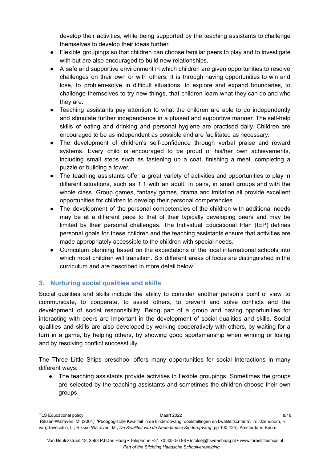develop their activities, while being supported by the teaching assistants to challenge themselves to develop their ideas further.

- Flexible groupings so that children can choose familiar peers to play and to investigate with but are also encouraged to build new relationships.
- A safe and supportive environment in which children are given opportunities to resolve challenges on their own or with others. It is through having opportunities to win and lose, to problem-solve in difficult situations, to explore and expand boundaries, to challenge themselves to try new things, that children learn what they can do and who they are.
- Teaching assistants pay attention to what the children are able to do independently and stimulate further independence in a phased and supportive manner. The self-help skills of eating and drinking and personal hygiene are practised daily. Children are encouraged to be as independent as possible and are facilitated as necessary.
- The development of children's self-confidence through verbal praise and reward systems. Every child is encouraged to be proud of his/her own achievements, including small steps such as fastening up a coat, finishing a meal, completing a puzzle or building a tower.
- The teaching assistants offer a great variety of activities and opportunities to play in different situations, such as 1:1 with an adult, in pairs, in small groups and with the whole class. Group games, fantasy games, drama and imitation all provide excellent opportunities for children to develop their personal competencies.
- The development of the personal competencies of the children with additional needs may be at a different pace to that of their typically developing peers and may be limited by their personal challenges. The Individual Educational Plan (IEP) defines personal goals for these children and the teaching assistants ensure that activities are made appropriately accessible to the children with special needs.
- Curriculum planning based on the expectations of the local international schools into which most children will transition. Six different areas of focus are distinguished in the curriculum and are described in more detail below.

# <span id="page-7-0"></span>**3. Nurturing social qualities and skills**

Social qualities and skills include the ability to consider another person's point of view, to communicate, to cooperate, to assist others, to prevent and solve conflicts and the development of social responsibility. Being part of a group and having opportunities for interacting with peers are important in the development of social qualities and skills. Social qualities and skills are also developed by working cooperatively with others, by waiting for a turn in a game, by helping others, by showing good sportsmanship when winning or losing and by resolving conflict successfully.

The Three Little Ships preschool offers many opportunities for social interactions in many different ways:

● The teaching assistants provide activities in flexible groupings. Sometimes the groups are selected by the teaching assistants and sometimes the children choose their own groups.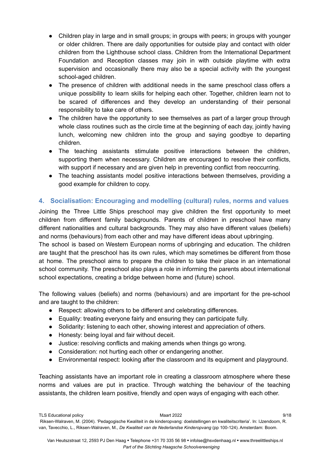- Children play in large and in small groups; in groups with peers; in groups with younger or older children. There are daily opportunities for outside play and contact with older children from the Lighthouse school class. Children from the International Department Foundation and Reception classes may join in with outside playtime with extra supervision and occasionally there may also be a special activity with the youngest school-aged children.
- The presence of children with additional needs in the same preschool class offers a unique possibility to learn skills for helping each other. Together, children learn not to be scared of differences and they develop an understanding of their personal responsibility to take care of others.
- The children have the opportunity to see themselves as part of a larger group through whole class routines such as the circle time at the beginning of each day, jointly having lunch, welcoming new children into the group and saying goodbye to departing children.
- The teaching assistants stimulate positive interactions between the children, supporting them when necessary. Children are encouraged to resolve their conflicts, with support if necessary and are given help in preventing conflict from reoccurring.
- The teaching assistants model positive interactions between themselves, providing a good example for children to copy.

## <span id="page-8-0"></span>**4. Socialisation: Encouraging and modelling (cultural) rules, norms and values**

Joining the Three Little Ships preschool may give children the first opportunity to meet children from different family backgrounds. Parents of children in preschool have many different nationalities and cultural backgrounds. They may also have different values (beliefs) and norms (behaviours) from each other and may have different ideas about upbringing.

The school is based on Western European norms of upbringing and education. The children are taught that the preschool has its own rules, which may sometimes be different from those at home. The preschool aims to prepare the children to take their place in an international school community. The preschool also plays a role in informing the parents about international school expectations, creating a bridge between home and (future) school.

The following values (beliefs) and norms (behaviours) and are important for the pre-school and are taught to the children:

- Respect: allowing others to be different and celebrating differences.
- Equality: treating everyone fairly and ensuring they can participate fully.
- Solidarity: listening to each other, showing interest and appreciation of others.
- Honesty: being loyal and fair without deceit.
- Justice: resolving conflicts and making amends when things go wrong.
- Consideration: not hurting each other or endangering another.
- Environmental respect: looking after the classroom and its equipment and playground.

Teaching assistants have an important role in creating a classroom atmosphere where these norms and values are put in practice. Through watching the behaviour of the teaching assistants, the children learn positive, friendly and open ways of engaging with each other.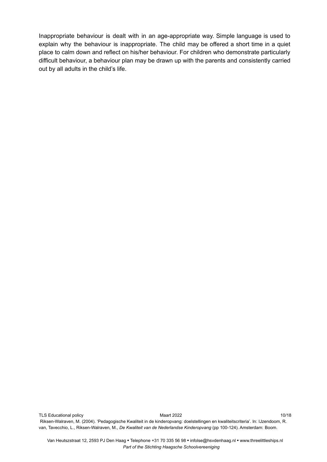Inappropriate behaviour is dealt with in an age-appropriate way. Simple language is used to explain why the behaviour is inappropriate. The child may be offered a short time in a quiet place to calm down and reflect on his/her behaviour. For children who demonstrate particularly difficult behaviour, a behaviour plan may be drawn up with the parents and consistently carried out by all adults in the child's life.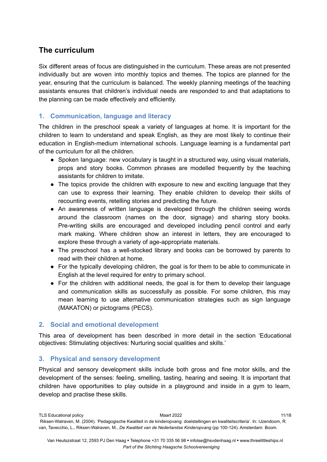# <span id="page-10-0"></span>**The curriculum**

Six different areas of focus are distinguished in the curriculum. These areas are not presented individually but are woven into monthly topics and themes. The topics are planned for the year, ensuring that the curriculum is balanced. The weekly planning meetings of the teaching assistants ensures that children's individual needs are responded to and that adaptations to the planning can be made effectively and efficiently.

## <span id="page-10-1"></span>**1. Communication, language and literacy**

The children in the preschool speak a variety of languages at home. It is important for the children to learn to understand and speak English, as they are most likely to continue their education in English-medium international schools. Language learning is a fundamental part of the curriculum for all the children.

- Spoken language: new vocabulary is taught in a structured way, using visual materials, props and story books. Common phrases are modelled frequently by the teaching assistants for children to imitate.
- The topics provide the children with exposure to new and exciting language that they can use to express their learning. They enable children to develop their skills of recounting events, retelling stories and predicting the future.
- An awareness of written language is developed through the children seeing words around the classroom (names on the door, signage) and sharing story books. Pre-writing skills are encouraged and developed including pencil control and early mark making. Where children show an interest in letters, they are encouraged to explore these through a variety of age-appropriate materials.
- The preschool has a well-stocked library and books can be borrowed by parents to read with their children at home.
- For the typically developing children, the goal is for them to be able to communicate in English at the level required for entry to primary school.
- For the children with additional needs, the goal is for them to develop their language and communication skills as successfully as possible. For some children, this may mean learning to use alternative communication strategies such as sign language (MAKATON) or pictograms (PECS).

## <span id="page-10-2"></span>**2. Social and emotional development**

This area of development has been described in more detail in the section 'Educational objectives: Stimulating objectives: Nurturing social qualities and skills.'

## <span id="page-10-3"></span>**3. Physical and sensory development**

Physical and sensory development skills include both gross and fine motor skills, and the development of the senses: feeling, smelling, tasting, hearing and seeing. It is important that children have opportunities to play outside in a playground and inside in a gym to learn, develop and practise these skills.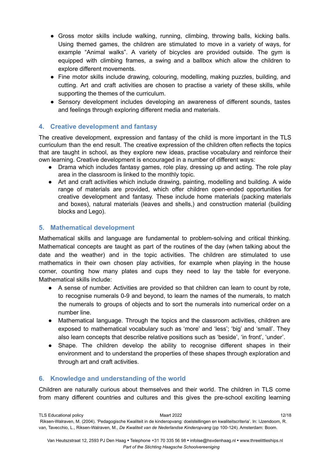- Gross motor skills include walking, running, climbing, throwing balls, kicking balls. Using themed games, the children are stimulated to move in a variety of ways, for example "Animal walks". A variety of bicycles are provided outside. The gym is equipped with climbing frames, a swing and a ballbox which allow the children to explore different movements.
- Fine motor skills include drawing, colouring, modelling, making puzzles, building, and cutting. Art and craft activities are chosen to practise a variety of these skills, while supporting the themes of the curriculum.
- Sensory development includes developing an awareness of different sounds, tastes and feelings through exploring different media and materials.

## <span id="page-11-0"></span>**4. Creative development and fantasy**

The creative development, expression and fantasy of the child is more important in the TLS curriculum than the end result. The creative expression of the children often reflects the topics that are taught in school, as they explore new ideas, practise vocabulary and reinforce their own learning. Creative development is encouraged in a number of different ways:

- Drama which includes fantasy games, role play, dressing up and acting. The role play area in the classroom is linked to the monthly topic.
- Art and craft activities which include drawing, painting, modelling and building. A wide range of materials are provided, which offer children open-ended opportunities for creative development and fantasy. These include home materials (packing materials and boxes), natural materials (leaves and shells,) and construction material (building blocks and Lego).

## <span id="page-11-1"></span>**5. Mathematical development**

Mathematical skills and language are fundamental to problem-solving and critical thinking. Mathematical concepts are taught as part of the routines of the day (when talking about the date and the weather) and in the topic activities. The children are stimulated to use mathematics in their own chosen play activities, for example when playing in the house corner, counting how many plates and cups they need to lay the table for everyone. Mathematical skills include:

- A sense of number. Activities are provided so that children can learn to count by rote, to recognise numerals 0-9 and beyond, to learn the names of the numerals, to match the numerals to groups of objects and to sort the numerals into numerical order on a number line.
- Mathematical language. Through the topics and the classroom activities, children are exposed to mathematical vocabulary such as 'more' and 'less'; 'big' and 'small'. They also learn concepts that describe relative positions such as 'beside', 'in front', 'under'.
- Shape. The children develop the ability to recognise different shapes in their environment and to understand the properties of these shapes through exploration and through art and craft activities.

## <span id="page-11-2"></span>**6. Knowledge and understanding of the world**

Children are naturally curious about themselves and their world. The children in TLS come from many different countries and cultures and this gives the pre-school exciting learning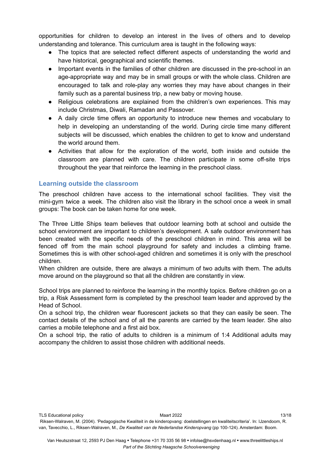opportunities for children to develop an interest in the lives of others and to develop understanding and tolerance. This curriculum area is taught in the following ways:

- The topics that are selected reflect different aspects of understanding the world and have historical, geographical and scientific themes.
- Important events in the families of other children are discussed in the pre-school in an age-appropriate way and may be in small groups or with the whole class. Children are encouraged to talk and role-play any worries they may have about changes in their family such as a parental business trip, a new baby or moving house.
- Religious celebrations are explained from the children's own experiences. This may include Christmas, Diwali, Ramadan and Passover.
- A daily circle time offers an opportunity to introduce new themes and vocabulary to help in developing an understanding of the world. During circle time many different subjects will be discussed, which enables the children to get to know and understand the world around them.
- Activities that allow for the exploration of the world, both inside and outside the classroom are planned with care. The children participate in some off-site trips throughout the year that reinforce the learning in the preschool class.

#### <span id="page-12-0"></span>**Learning outside the classroom**

The preschool children have access to the international school facilities. They visit the mini-gym twice a week. The children also visit the library in the school once a week in small groups: The book can be taken home for one week.

The Three Little Ships team believes that outdoor learning both at school and outside the school environment are important to children's development. A safe outdoor environment has been created with the specific needs of the preschool children in mind. This area will be fenced off from the main school playground for safety and includes a climbing frame. Sometimes this is with other school-aged children and sometimes it is only with the preschool children.

When children are outside, there are always a minimum of two adults with them. The adults move around on the playground so that all the children are constantly in view.

School trips are planned to reinforce the learning in the monthly topics. Before children go on a trip, a Risk Assessment form is completed by the preschool team leader and approved by the Head of School.

On a school trip, the children wear fluorescent jackets so that they can easily be seen. The contact details of the school and of all the parents are carried by the team leader. She also carries a mobile telephone and a first aid box.

On a school trip, the ratio of adults to children is a minimum of 1:4 Additional adults may accompany the children to assist those children with additional needs.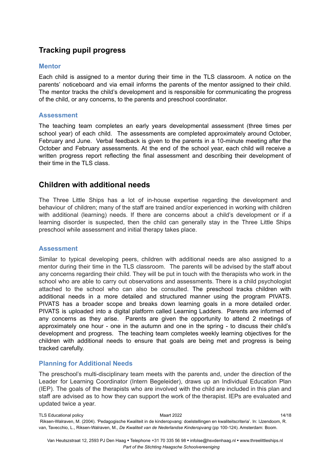# <span id="page-13-2"></span>**Tracking pupil progress**

#### <span id="page-13-3"></span>**Mentor**

Each child is assigned to a mentor during their time in the TLS classroom. A notice on the parents' noticeboard and via email informs the parents of the mentor assigned to their child. The mentor tracks the child's development and is responsible for communicating the progress of the child, or any concerns, to the parents and preschool coordinator.

#### <span id="page-13-4"></span>**Assessment**

The teaching team completes an early years developmental assessment (three times per school year) of each child. The assessments are completed approximately around October, February and June. Verbal feedback is given to the parents in a 10-minute meeting after the October and February assessments. At the end of the school year, each child will receive a written progress report reflecting the final assessment and describing their development of their time in the TLS class.

# **Children with additional needs**

The Three Little Ships has a lot of in-house expertise regarding the development and behaviour of children; many of the staff are trained and/or experienced in working with children with additional (learning) needs. If there are concerns about a child's development or if a learning disorder is suspected, then the child can generally stay in the Three Little Ships preschool while assessment and initial therapy takes place.

#### <span id="page-13-0"></span>**Assessment**

Similar to typical developing peers, children with additional needs are also assigned to a mentor during their time in the TLS classroom. The parents will be advised by the staff about any concerns regarding their child. They will be put in touch with the therapists who work in the school who are able to carry out observations and assessments. There is a child psychologist attached to the school who can also be consulted. The preschool tracks children with additional needs in a more detailed and structured manner using the program PIVATS. PIVATS has a broader scope and breaks down learning goals in a more detailed order. PIVATS is uploaded into a digital platform called Learning Ladders. Parents are informed of any concerns as they arise. Parents are given the opportunity to attend 2 meetings of approximately one hour - one in the autumn and one in the spring - to discuss their child's development and progress. The teaching team completes weekly learning objectives for the children with additional needs to ensure that goals are being met and progress is being tracked carefully.

## <span id="page-13-1"></span>**Planning for Additional Needs**

The preschool's multi-disciplinary team meets with the parents and, under the direction of the Leader for Learning Coordinator (Intern Begeleider), draws up an Individual Education Plan (IEP). The goals of the therapists who are involved with the child are included in this plan and staff are advised as to how they can support the work of the therapist. IEPs are evaluated and updated twice a year.

TLS Educational policy and the contract of the Maart 2022 14/18 and the contract of the matrix of the matrix of the Maart 2022 14/18 Riksen-Walraven, M. (2004). 'Pedagogische Kwaliteit in de kinderopvang: doelstellingen en kwaliteitscriteria'. In: IJzendoom, R. van, Tavecchio, L., Riksen-Walraven, M., *De Kwaliteit van de Nederlandse Kinderopvang* (pp 100-124). Amsterdam: Boom.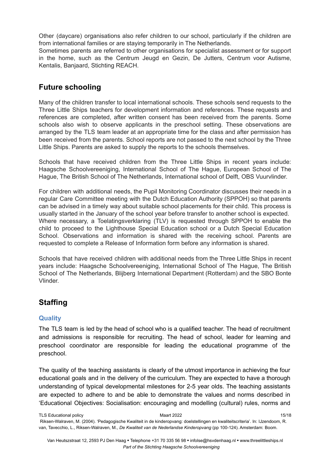Other (daycare) organisations also refer children to our school, particularly if the children are from international families or are staying temporarily in The Netherlands.

Sometimes parents are referred to other organisations for specialist assessment or for support in the home, such as the Centrum Jeugd en Gezin, De Jutters, Centrum voor Autisme, Kentalis, Banjaard, Stichting REACH.

# <span id="page-14-0"></span>**Future schooling**

Many of the children transfer to local international schools. These schools send requests to the Three Little Ships teachers for development information and references. These requests and references are completed, after written consent has been received from the parents. Some schools also wish to observe applicants in the preschool setting. These observations are arranged by the TLS team leader at an appropriate time for the class and after permission has been received from the parents. School reports are not passed to the next school by the Three Little Ships. Parents are asked to supply the reports to the schools themselves.

Schools that have received children from the Three Little Ships in recent years include: Haagsche Schoolvereeniging, International School of The Hague, European School of The Hague, The British School of The Netherlands, International school of Delft, OBS Vuurvlinder.

For children with additional needs, the Pupil Monitoring Coordinator discusses their needs in a regular Care Committee meeting with the Dutch Education Authority (SPPOH) so that parents can be advised in a timely way about suitable school placements for their child. This process is usually started in the January of the school year before transfer to another school is expected. Where necessary, a Toelatingsverklaring (TLV) is requested through SPPOH to enable the child to proceed to the Lighthouse Special Education school or a Dutch Special Education School. Observations and information is shared with the receiving school. Parents are requested to complete a Release of Information form before any information is shared.

Schools that have received children with additional needs from the Three Little Ships in recent years include: Haagsche Schoolvereeniging, International School of The Hague, The British School of The Netherlands, Blijberg International Department (Rotterdam) and the SBO Bonte Vlinder.

# <span id="page-14-1"></span>**Staffing**

## <span id="page-14-2"></span>**Quality**

The TLS team is led by the head of school who is a qualified teacher. The head of recruitment and admissions is responsible for recruiting. The head of school, leader for learning and preschool coordinator are responsible for leading the educational programme of the preschool.

The quality of the teaching assistants is clearly of the utmost importance in achieving the four educational goals and in the delivery of the curriculum. They are expected to have a thorough understanding of typical developmental milestones for 2-5 year olds. The teaching assistants are expected to adhere to and be able to demonstrate the values and norms described in 'Educational Objectives: Socialisation: encouraging and modelling (cultural) rules, norms and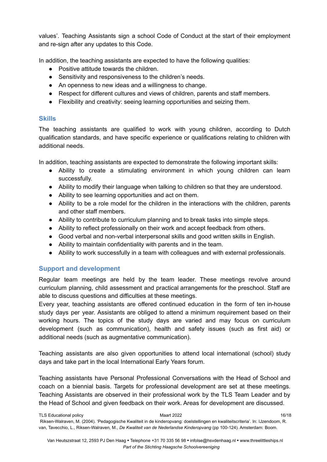values'. Teaching Assistants sign a school Code of Conduct at the start of their employment and re-sign after any updates to this Code.

In addition, the teaching assistants are expected to have the following qualities:

- Positive attitude towards the children.
- Sensitivity and responsiveness to the children's needs.
- An openness to new ideas and a willingness to change.
- Respect for different cultures and views of children, parents and staff members.
- Flexibility and creativity: seeing learning opportunities and seizing them.

#### <span id="page-15-0"></span>**Skills**

The teaching assistants are qualified to work with young children, according to Dutch qualification standards, and have specific experience or qualifications relating to children with additional needs.

In addition, teaching assistants are expected to demonstrate the following important skills:

- Ability to create a stimulating environment in which young children can learn successfully.
- Ability to modify their language when talking to children so that they are understood.
- Ability to see learning opportunities and act on them.
- Ability to be a role model for the children in the interactions with the children, parents and other staff members.
- Ability to contribute to curriculum planning and to break tasks into simple steps.
- Ability to reflect professionally on their work and accept feedback from others.
- Good verbal and non-verbal interpersonal skills and good written skills in English.
- Ability to maintain confidentiality with parents and in the team.
- Ability to work successfully in a team with colleagues and with external professionals.

## <span id="page-15-1"></span>**Support and development**

Regular team meetings are held by the team leader. These meetings revolve around curriculum planning, child assessment and practical arrangements for the preschool. Staff are able to discuss questions and difficulties at these meetings.

Every year, teaching assistants are offered continued education in the form of ten in-house study days per year. Assistants are obliged to attend a minimum requirement based on their working hours. The topics of the study days are varied and may focus on curriculum development (such as communication), health and safety issues (such as first aid) or additional needs (such as augmentative communication).

Teaching assistants are also given opportunities to attend local international (school) study days and take part in the local International Early Years forum.

Teaching assistants have Personal Professional Conversations with the Head of School and coach on a biennial basis. Targets for professional development are set at these meetings. Teaching Assistants are observed in their professional work by the TLS Team Leader and by the Head of School and given feedback on their work. Areas for development are discussed.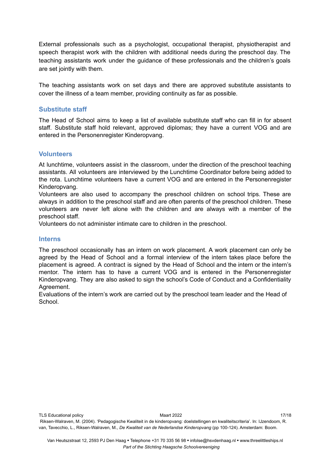External professionals such as a psychologist, occupational therapist, physiotherapist and speech therapist work with the children with additional needs during the preschool day. The teaching assistants work under the guidance of these professionals and the children's goals are set jointly with them.

The teaching assistants work on set days and there are approved substitute assistants to cover the illness of a team member, providing continuity as far as possible.

#### <span id="page-16-0"></span>**Substitute staff**

The Head of School aims to keep a list of available substitute staff who can fill in for absent staff. Substitute staff hold relevant, approved diplomas; they have a current VOG and are entered in the Personenregister Kinderopvang.

#### <span id="page-16-1"></span>**Volunteers**

At lunchtime, volunteers assist in the classroom, under the direction of the preschool teaching assistants. All volunteers are interviewed by the Lunchtime Coordinator before being added to the rota. Lunchtime volunteers have a current VOG and are entered in the Personenregister Kinderopvang.

Volunteers are also used to accompany the preschool children on school trips. These are always in addition to the preschool staff and are often parents of the preschool children. These volunteers are never left alone with the children and are always with a member of the preschool staff.

Volunteers do not administer intimate care to children in the preschool.

#### <span id="page-16-2"></span>**Interns**

The preschool occasionally has an intern on work placement. A work placement can only be agreed by the Head of School and a formal interview of the intern takes place before the placement is agreed. A contract is signed by the Head of School and the intern or the intern's mentor. The intern has to have a current VOG and is entered in the Personenregister Kinderopvang. They are also asked to sign the school's Code of Conduct and a Confidentiality Agreement.

Evaluations of the intern's work are carried out by the preschool team leader and the Head of School.